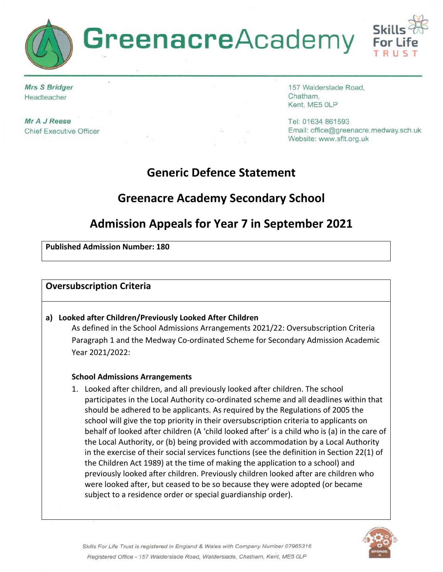

**Mrs S Bridger** Headteacher

Mr A J Reese **Chief Executive Officer** 

157 Walderslade Road, Chatham, Kent, ME5 0LP

Tel: 01634 861593 Email: office@greenacre.medway.sch.uk Website: www.sflt.org.uk

# **Generic Defence Statement**

# **Greenacre Academy Secondary School**

# **Admission Appeals for Year 7 in September 2021**

#### **Published Admission Number: 180**

### **Oversubscription Criteria**

#### **a) Looked after Children/Previously Looked After Children**

As defined in the School Admissions Arrangements 2021/22: Oversubscription Criteria Paragraph 1 and the Medway Co-ordinated Scheme for Secondary Admission Academic Year 2021/2022:

#### **School Admissions Arrangements**

1. Looked after children, and all previously looked after children. The school participates in the Local Authority co-ordinated scheme and all deadlines within that should be adhered to be applicants. As required by the Regulations of 2005 the school will give the top priority in their oversubscription criteria to applicants on behalf of looked after children (A 'child looked after' is a child who is (a) in the care of the Local Authority, or (b) being provided with accommodation by a Local Authority in the exercise of their social services functions (see the definition in Section 22(1) of the Children Act 1989) at the time of making the application to a school) and previously looked after children. Previously children looked after are children who were looked after, but ceased to be so because they were adopted (or became subject to a residence order or special guardianship order).

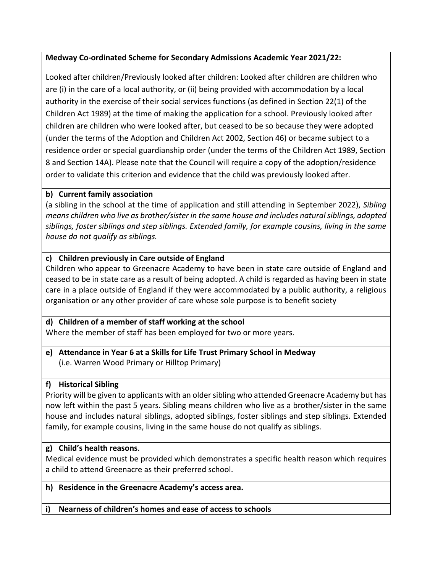### **Medway Co-ordinated Scheme for Secondary Admissions Academic Year 2021/22:**

Looked after children/Previously looked after children: Looked after children are children who are (i) in the care of a local authority, or (ii) being provided with accommodation by a local authority in the exercise of their social services functions (as defined in Section 22(1) of the Children Act 1989) at the time of making the application for a school. Previously looked after children are children who were looked after, but ceased to be so because they were adopted (under the terms of the Adoption and Children Act 2002, Section 46) or became subject to a residence order or special guardianship order (under the terms of the Children Act 1989, Section 8 and Section 14A). Please note that the Council will require a copy of the adoption/residence order to validate this criterion and evidence that the child was previously looked after.

### **b) Current family association**

(a sibling in the school at the time of application and still attending in September 2022), *Sibling means children who live as brother/sister in the same house and includes natural siblings, adopted siblings, foster siblings and step siblings. Extended family, for example cousins, living in the same house do not qualify as siblings.*

## **c) Children previously in Care outside of England**

Children who appear to Greenacre Academy to have been in state care outside of England and ceased to be in state care as a result of being adopted. A child is regarded as having been in state care in a place outside of England if they were accommodated by a public authority, a religious organisation or any other provider of care whose sole purpose is to benefit society

#### **d) Children of a member of staff working at the school** Where the member of staff has been employed for two or more years.

**e) Attendance in Year 6 at a Skills for Life Trust Primary School in Medway** (i.e. Warren Wood Primary or Hilltop Primary)

## **f) Historical Sibling**

Priority will be given to applicants with an older sibling who attended Greenacre Academy but has now left within the past 5 years. Sibling means children who live as a brother/sister in the same house and includes natural siblings, adopted siblings, foster siblings and step siblings. Extended family, for example cousins, living in the same house do not qualify as siblings.

## **g) Child's health reasons**.

Medical evidence must be provided which demonstrates a specific health reason which requires a child to attend Greenacre as their preferred school.

#### **h) Residence in the Greenacre Academy's access area.**

**i) Nearness of children's homes and ease of access to schools**